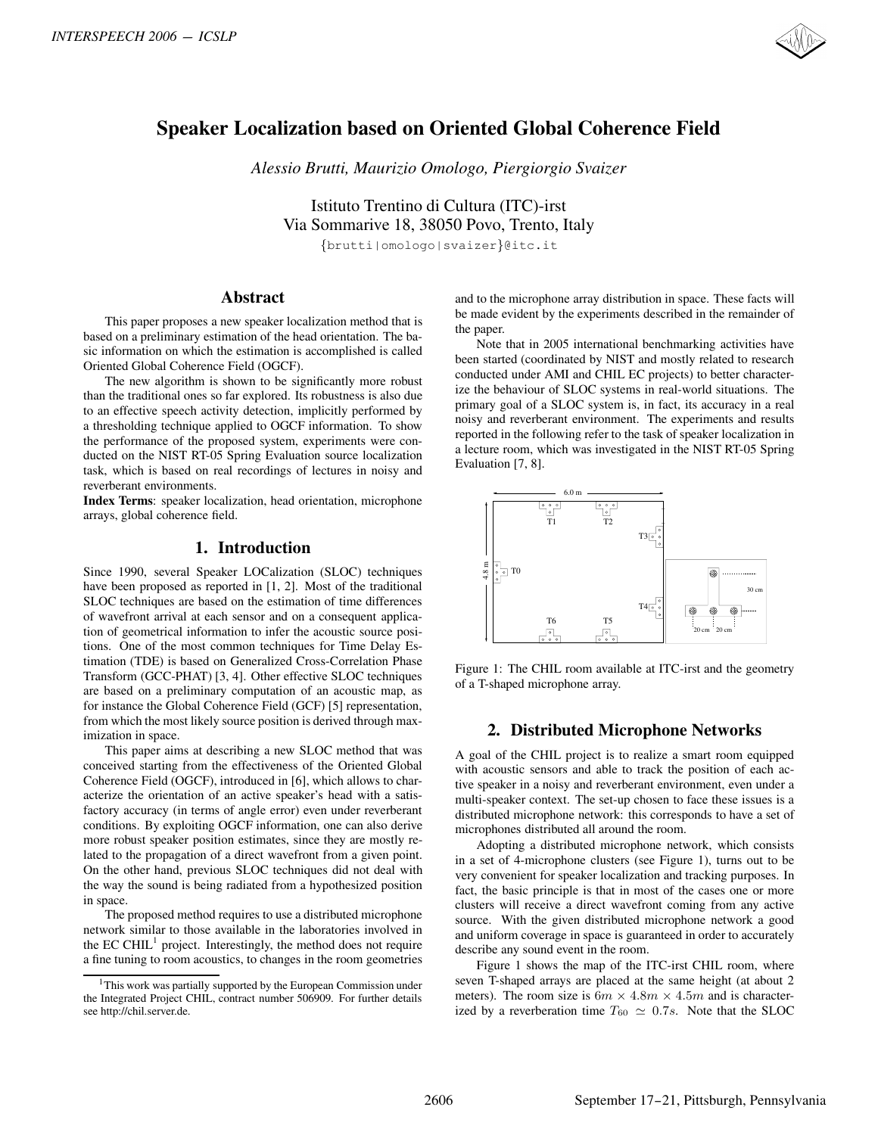

# **Speaker Localization based on Oriented Global Coherence Field**

*Alessio Brutti, Maurizio Omologo, Piergiorgio Svaizer*

Istituto Trentino di Cultura (ITC)-irst Via Sommarive 18, 38050 Povo, Trento, Italy {brutti|omologo|svaizer}@itc.it

#### **Abstract**

This paper proposes a new speaker localization method that is based on a preliminary estimation of the head orientation. The basic information on which the estimation is accomplished is called Oriented Global Coherence Field (OGCF).

The new algorithm is shown to be significantly more robust than the traditional ones so far explored. Its robustness is also due to an effective speech activity detection, implicitly performed by a thresholding technique applied to OGCF information. To show the performance of the proposed system, experiments were conducted on the NIST RT-05 Spring Evaluation source localization task, which is based on real recordings of lectures in noisy and reverberant environments.

**Index Terms**: speaker localization, head orientation, microphone arrays, global coherence field.

#### **1. Introduction**

Since 1990, several Speaker LOCalization (SLOC) techniques have been proposed as reported in [1, 2]. Most of the traditional SLOC techniques are based on the estimation of time differences of wavefront arrival at each sensor and on a consequent application of geometrical information to infer the acoustic source positions. One of the most common techniques for Time Delay Estimation (TDE) is based on Generalized Cross-Correlation Phase Transform (GCC-PHAT) [3, 4]. Other effective SLOC techniques are based on a preliminary computation of an acoustic map, as for instance the Global Coherence Field (GCF) [5] representation, from which the most likely source position is derived through maximization in space. ENTRESPECH 2606 - ICSLP<br>
Speaker Localization based on Oriented Giobal Coherence Field<br>
Alexio Bossica Mostric Osciologica President Scheme in the speaker of the speaker of the speaker of the speaker of the speaker of the

This paper aims at describing a new SLOC method that was conceived starting from the effectiveness of the Oriented Global Coherence Field (OGCF), introduced in [6], which allows to characterize the orientation of an active speaker's head with a satisfactory accuracy (in terms of angle error) even under reverberant conditions. By exploiting OGCF information, one can also derive more robust speaker position estimates, since they are mostly related to the propagation of a direct wavefront from a given point. On the other hand, previous SLOC techniques did not deal with the way the sound is being radiated from a hypothesized position in space.

The proposed method requires to use a distributed microphone network similar to those available in the laboratories involved in the EC CHIL $<sup>1</sup>$  project. Interestingly, the method does not require</sup> a fine tuning to room acoustics, to changes in the room geometries and to the microphone array distribution in space. These facts will be made evident by the experiments described in the remainder of the paper.

Note that in 2005 international benchmarking activities have been started (coordinated by NIST and mostly related to research conducted under AMI and CHIL EC projects) to better characterize the behaviour of SLOC systems in real-world situations. The primary goal of a SLOC system is, in fact, its accuracy in a real noisy and reverberant environment. The experiments and results reported in the following refer to the task of speaker localization in a lecture room, which was investigated in the NIST RT-05 Spring Evaluation [7, 8].



Figure 1: The CHIL room available at ITC-irst and the geometry of a T-shaped microphone array.

### **2. Distributed Microphone Networks**

A goal of the CHIL project is to realize a smart room equipped with acoustic sensors and able to track the position of each active speaker in a noisy and reverberant environment, even under a multi-speaker context. The set-up chosen to face these issues is a distributed microphone network: this corresponds to have a set of microphones distributed all around the room.

Adopting a distributed microphone network, which consists in a set of 4-microphone clusters (see Figure 1), turns out to be very convenient for speaker localization and tracking purposes. In fact, the basic principle is that in most of the cases one or more clusters will receive a direct wavefront coming from any active source. With the given distributed microphone network a good and uniform coverage in space is guaranteed in order to accurately describe any sound event in the room.

Figure 1 shows the map of the ITC-irst CHIL room, where seven T-shaped arrays are placed at the same height (at about 2 meters). The room size is  $6m \times 4.8m \times 4.5m$  and is characterized by a reverberation time  $T_{60} \simeq 0.7s$ . Note that the SLOC

<sup>&</sup>lt;sup>1</sup>This work was partially supported by the European Commission under the Integrated Project CHIL, contract number 506909. For further details see http://chil.server.de.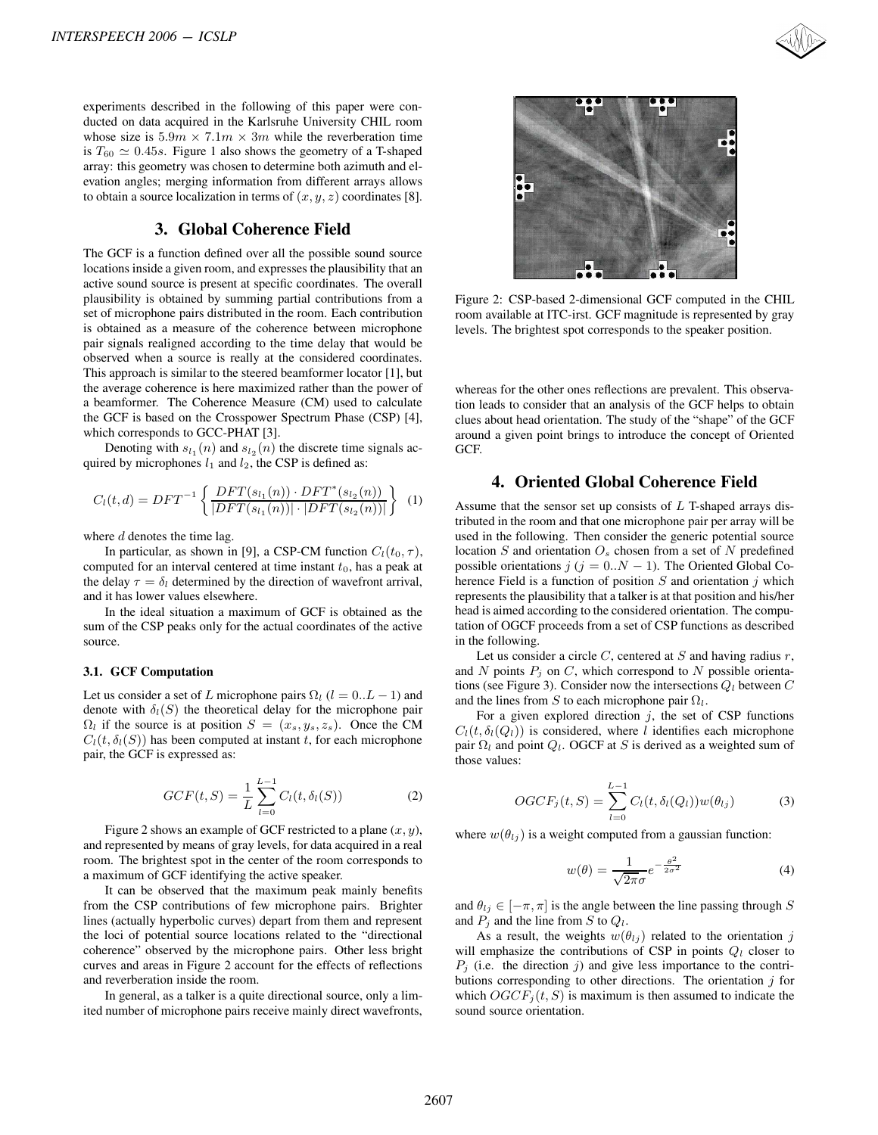

experiments described in the following of this paper were conducted on data acquired in the Karlsruhe University CHIL room whose size is  $5.9m \times 7.1m \times 3m$  while the reverberation time is  $T_{60} \simeq 0.45s$ . Figure 1 also shows the geometry of a T-shaped array: this geometry was chosen to determine both azimuth and elarray: this geometry was chosen to determine both azimuth and elevation angles; merging information from different arrays allows to obtain a source localization in terms of  $(x, y, z)$  coordinates [8].

### **3. Global Coherence Field**

The GCF is a function defined over all the possible sound source locations inside a given room, and expresses the plausibility that an active sound source is present at specific coordinates. The overall plausibility is obtained by summing partial contributions from a set of microphone pairs distributed in the room. Each contribution is obtained as a measure of the coherence between microphone pair signals realigned according to the time delay that would be observed when a source is really at the considered coordinates. This approach is similar to the steered beamformer locator [1], but the average coherence is here maximized rather than the power of a beamformer. The Coherence Measure (CM) used to calculate the GCF is based on the Crosspower Spectrum Phase (CSP) [4], which corresponds to GCC-PHAT [3].

Denoting with  $s_{l_1}(n)$  and  $s_{l_2}(n)$  the discrete time signals acquired by microphones  $l_1$  and  $l_2$ , the CSP is defined as:

$$
C_l(t,d) = DFT^{-1} \left\{ \frac{DFT(s_{l_1}(n)) \cdot DFT^*(s_{l_2}(n))}{|DFT(s_{l_1}(n))| \cdot |DFT(s_{l_2}(n))|} \right\}
$$
(1)

where  $d$  denotes the time lag.

In particular, as shown in [9], a CSP-CM function  $C_l(t_0, \tau)$ , computed for an interval centered at time instant  $t_0$ , has a peak at the delay  $\tau = \delta_l$  determined by the direction of wavefront arrival, and it has lower values elsewhere.

In the ideal situation a maximum of GCF is obtained as the sum of the CSP peaks only for the actual coordinates of the active source.

#### **3.1. GCF Computation**

Let us consider a set of L microphone pairs  $\Omega_l$  ( $l = 0..L - 1$ ) and denote with  $\delta_l(S)$  the theoretical delay for the microphone pair  $\Omega_l$  if the source is at position  $S = (x_s, y_s, z_s)$ . Once the CM  $C_l(t, \delta_l(S))$  has been computed at instant t, for each microphone pair, the GCF is expressed as:

$$
GCF(t, S) = \frac{1}{L} \sum_{l=0}^{L-1} C_l(t, \delta_l(S))
$$
 (2)

Figure 2 shows an example of GCF restricted to a plane  $(x, y)$ , and represented by means of gray levels, for data acquired in a real room. The brightest spot in the center of the room corresponds to a maximum of GCF identifying the active speaker.

It can be observed that the maximum peak mainly benefits from the CSP contributions of few microphone pairs. Brighter lines (actually hyperbolic curves) depart from them and represent the loci of potential source locations related to the "directional coherence" observed by the microphone pairs. Other less bright curves and areas in Figure 2 account for the effects of reflections and reverberation inside the room.

In general, as a talker is a quite directional source, only a limited number of microphone pairs receive mainly direct wavefronts,



Figure 2: CSP-based 2-dimensional GCF computed in the CHIL room available at ITC-irst. GCF magnitude is represented by gray levels. The brightest spot corresponds to the speaker position.

whereas for the other ones reflections are prevalent. This observation leads to consider that an analysis of the GCF helps to obtain clues about head orientation. The study of the "shape" of the GCF around a given point brings to introduce the concept of Oriented GCF.

## **4. Oriented Global Coherence Field**

Assume that the sensor set up consists of  $L$  T-shaped arrays distributed in the room and that one microphone pair per array will be used in the following. Then consider the generic potential source location  $S$  and orientation  $O<sub>s</sub>$  chosen from a set of  $N$  predefined possible orientations  $j$  ( $j = 0..N - 1$ ). The Oriented Global Coherence Field is a function of position  $S$  and orientation  $j$  which represents the plausibility that a talker is at that position and his/her head is aimed according to the considered orientation. The computation of OGCF proceeds from a set of CSP functions as described in the following.

Let us consider a circle  $C$ , centered at  $S$  and having radius  $r$ , and N points  $P_i$  on C, which correspond to N possible orientations (see Figure 3). Consider now the intersections  $Q_l$  between  $C$ and the lines from S to each microphone pair  $\Omega_l$ .

For a given explored direction  $j$ , the set of CSP functions  $C_l(t, \delta_l(Q_l))$  is considered, where l identifies each microphone pair  $\Omega_l$  and point  $Q_l$ . OGCF at S is derived as a weighted sum of those values:

$$
OGCF_j(t, S) = \sum_{l=0}^{L-1} C_l(t, \delta_l(Q_l)) w(\theta_{lj})
$$
\n(3)

where  $w(\theta_{lj})$  is a weight computed from a gaussian function:

$$
w(\theta) = \frac{1}{\sqrt{2\pi}\sigma} e^{-\frac{\theta^2}{2\sigma^2}} \tag{4}
$$

and  $\theta_{lj} \in [-\pi, \pi]$  is the angle between the line passing through S and  $P_j$  and the line from S to  $Q_l$ .

As a result, the weights  $w(\theta_{lj})$  related to the orientation j will emphasize the contributions of CSP in points  $Q_l$  closer to  $P_j$  (i.e. the direction j) and give less importance to the contributions corresponding to other directions. The orientation  $j$  for which  $OGCF<sub>i</sub>(t, S)$  is maximum is then assumed to indicate the sound source orientation.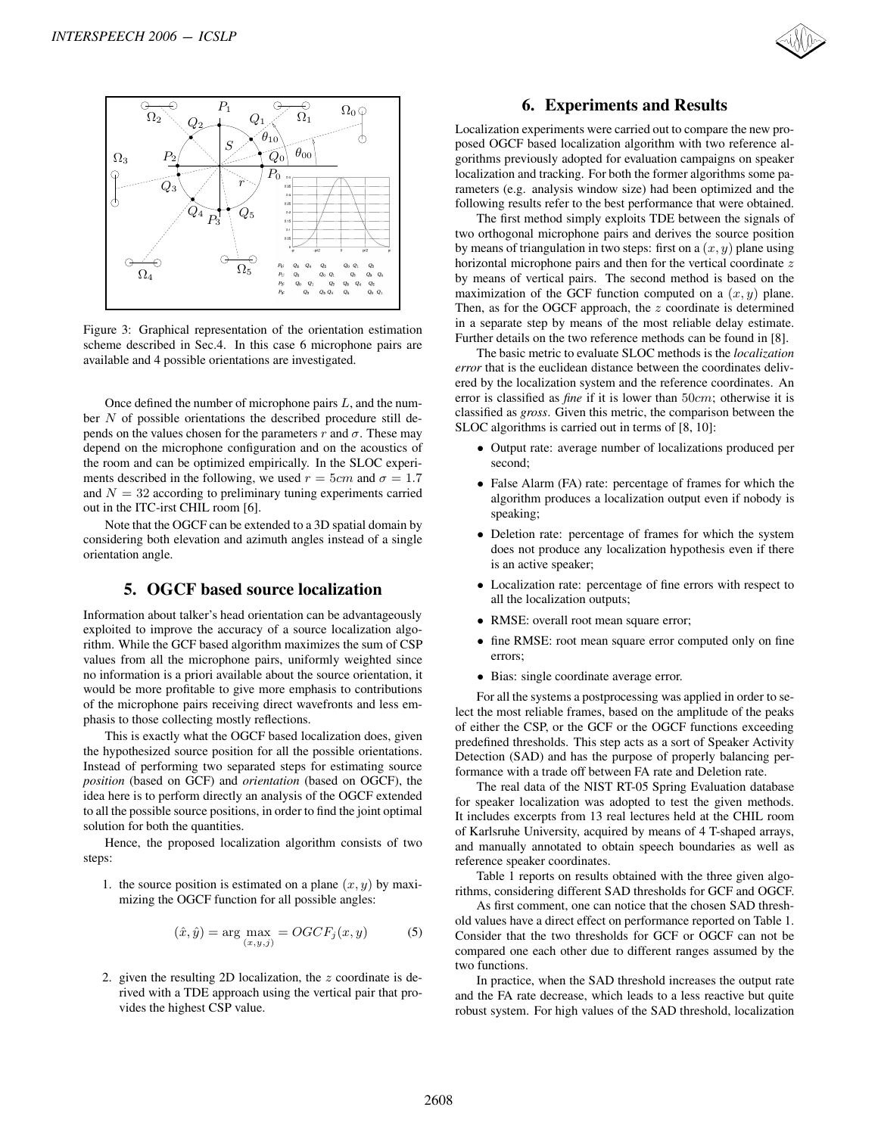

Figure 3: Graphical representation of the orientation estimation scheme described in Sec.4. In this case 6 microphone pairs are available and 4 possible orientations are investigated.

Once defined the number of microphone pairs  $L$ , and the number  $N$  of possible orientations the described procedure still depends on the values chosen for the parameters r and  $\sigma$ . These may depend on the microphone configuration and on the acoustics of the room and can be optimized empirically. In the SLOC experiments described in the following, we used  $r = 5cm$  and  $\sigma = 1.7$ and  $N = 32$  according to preliminary tuning experiments carried out in the ITC-irst CHIL room [6].

Note that the OGCF can be extended to a 3D spatial domain by considering both elevation and azimuth angles instead of a single orientation angle.

## **5. OGCF based source localization**

Information about talker's head orientation can be advantageously exploited to improve the accuracy of a source localization algorithm. While the GCF based algorithm maximizes the sum of CSP values from all the microphone pairs, uniformly weighted since no information is a priori available about the source orientation, it would be more profitable to give more emphasis to contributions of the microphone pairs receiving direct wavefronts and less emphasis to those collecting mostly reflections.

This is exactly what the OGCF based localization does, given the hypothesized source position for all the possible orientations. Instead of performing two separated steps for estimating source *position* (based on GCF) and *orientation* (based on OGCF), the idea here is to perform directly an analysis of the OGCF extended to all the possible source positions, in order to find the joint optimal solution for both the quantities.

Hence, the proposed localization algorithm consists of two steps:

1. the source position is estimated on a plane  $(x, y)$  by maximizing the OGCF function for all possible angles:

$$
(\hat{x}, \hat{y}) = \arg \max_{(x, y, j)} = OGCF_j(x, y) \tag{5}
$$

2. given the resulting 2D localization, the z coordinate is derived with a TDE approach using the vertical pair that provides the highest CSP value.

### **6. Experiments and Results**

Localization experiments were carried out to compare the new proposed OGCF based localization algorithm with two reference algorithms previously adopted for evaluation campaigns on speaker localization and tracking. For both the former algorithms some parameters (e.g. analysis window size) had been optimized and the following results refer to the best performance that were obtained.

The first method simply exploits TDE between the signals of two orthogonal microphone pairs and derives the source position by means of triangulation in two steps: first on a  $(x, y)$  plane using horizontal microphone pairs and then for the vertical coordinate z by means of vertical pairs. The second method is based on the maximization of the GCF function computed on a  $(x, y)$  plane. Then, as for the OGCF approach, the  $z$  coordinate is determined in a separate step by means of the most reliable delay estimate. Further details on the two reference methods can be found in [8].

The basic metric to evaluate SLOC methods is the *localization error* that is the euclidean distance between the coordinates delivered by the localization system and the reference coordinates. An error is classified as *fine* if it is lower than 50*cm*; otherwise it is classified as *gross*. Given this metric, the comparison between the SLOC algorithms is carried out in terms of [8, 10]:

- Output rate: average number of localizations produced per second;
- False Alarm (FA) rate: percentage of frames for which the algorithm produces a localization output even if nobody is speaking;
- Deletion rate: percentage of frames for which the system does not produce any localization hypothesis even if there is an active speaker;
- Localization rate: percentage of fine errors with respect to all the localization outputs;
- RMSE: overall root mean square error;
- fine RMSE: root mean square error computed only on fine errors;
- Bias: single coordinate average error.

For all the systems a postprocessing was applied in order to select the most reliable frames, based on the amplitude of the peaks of either the CSP, or the GCF or the OGCF functions exceeding predefined thresholds. This step acts as a sort of Speaker Activity Detection (SAD) and has the purpose of properly balancing performance with a trade off between FA rate and Deletion rate.

The real data of the NIST RT-05 Spring Evaluation database for speaker localization was adopted to test the given methods. It includes excerpts from 13 real lectures held at the CHIL room of Karlsruhe University, acquired by means of 4 T-shaped arrays, and manually annotated to obtain speech boundaries as well as reference speaker coordinates.

Table 1 reports on results obtained with the three given algorithms, considering different SAD thresholds for GCF and OGCF.

As first comment, one can notice that the chosen SAD threshold values have a direct effect on performance reported on Table 1. Consider that the two thresholds for GCF or OGCF can not be compared one each other due to different ranges assumed by the two functions.

In practice, when the SAD threshold increases the output rate and the FA rate decrease, which leads to a less reactive but quite robust system. For high values of the SAD threshold, localization